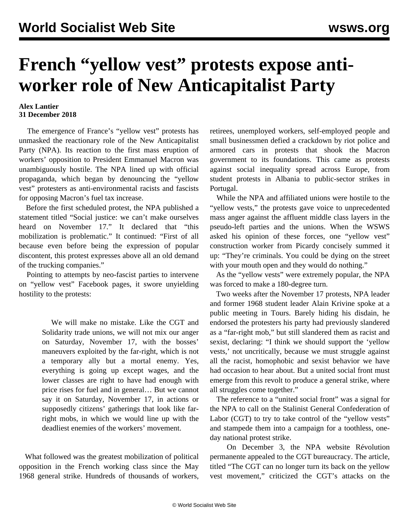## **French "yellow vest" protests expose antiworker role of New Anticapitalist Party**

## **Alex Lantier 31 December 2018**

 The emergence of France's "yellow vest" protests has unmasked the reactionary role of the New Anticapitalist Party (NPA). Its reaction to the first mass eruption of workers' opposition to President Emmanuel Macron was unambiguously hostile. The NPA lined up with official propaganda, which began by denouncing the "yellow vest" protesters as anti-environmental racists and fascists for opposing Macron's fuel tax increase.

 Before the first scheduled protest, the NPA published a statement titled "Social justice: we can't make ourselves heard on November 17." It declared that "this mobilization is problematic." It continued: "First of all because even before being the expression of popular discontent, this protest expresses above all an old demand of the trucking companies."

 Pointing to attempts by neo-fascist parties to intervene on "yellow vest" Facebook pages, it swore unyielding hostility to the protests:

> We will make no mistake. Like the CGT and Solidarity trade unions, we will not mix our anger on Saturday, November 17, with the bosses' maneuvers exploited by the far-right, which is not a temporary ally but a mortal enemy. Yes, everything is going up except wages, and the lower classes are right to have had enough with price rises for fuel and in general… But we cannot say it on Saturday, November 17, in actions or supposedly citizens' gatherings that look like farright mobs, in which we would line up with the deadliest enemies of the workers' movement.

 What followed was the greatest mobilization of political opposition in the French working class since the May 1968 general strike. Hundreds of thousands of workers, retirees, unemployed workers, self-employed people and small businessmen defied a crackdown by riot police and armored cars in protests that shook the Macron government to its foundations. This came as protests against social inequality spread across Europe, from student protests in Albania to public-sector strikes in Portugal.

 While the NPA and affiliated unions were hostile to the "yellow vests," the protests gave voice to unprecedented mass anger against the affluent middle class layers in the pseudo-left parties and the unions. When the WSWS asked his opinion of these forces, one "yellow vest" construction worker from Picardy concisely summed it up: "They're criminals. You could be dying on the street with your mouth open and they would do nothing."

 As the "yellow vests" were extremely popular, the NPA was forced to make a 180-degree turn.

 Two weeks after the November 17 protests, NPA leader and former 1968 student leader Alain Krivine spoke at a public meeting in Tours. Barely hiding his disdain, he endorsed the protesters his party had previously slandered as a "far-right mob," but still slandered them as racist and sexist, declaring: "I think we should support the 'yellow vests,' not uncritically, because we must struggle against all the racist, homophobic and sexist behavior we have had occasion to hear about. But a united social front must emerge from this revolt to produce a general strike, where all struggles come together."

 The reference to a "united social front" was a signal for the NPA to call on the Stalinist General Confederation of Labor (CGT) to try to take control of the "yellow vests" and stampede them into a campaign for a toothless, oneday national protest strike.

 On December 3, the NPA website Révolution permanente appealed to the CGT bureaucracy. The article, titled "The CGT can no longer turn its back on the yellow vest movement," criticized the CGT's attacks on the